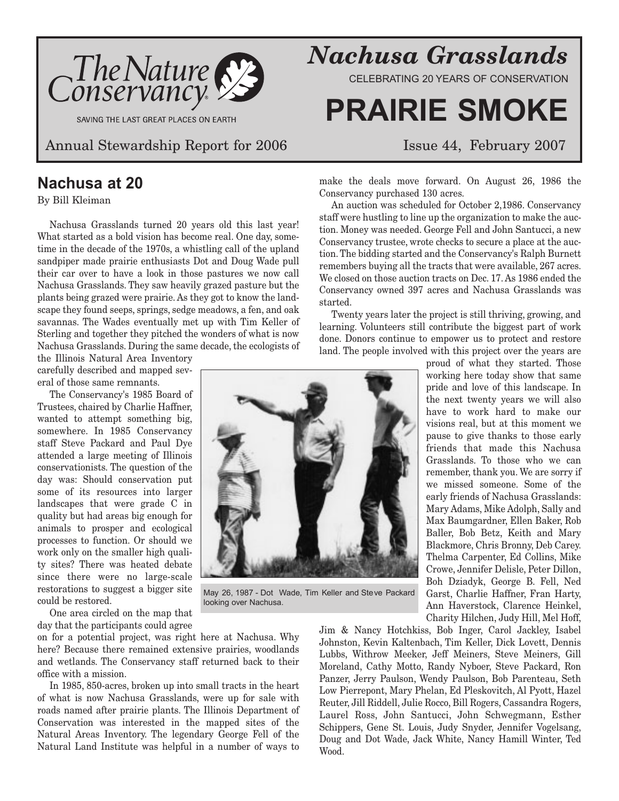

SAVING THE LAST GREAT PLACES ON EARTH

Annual Stewardship Report for 2006 Issue 44, February 2007

### **Nachusa at 20**

### By Bill Kleiman

Nachusa Grasslands turned 20 years old this last year! What started as a bold vision has become real. One day, sometime in the decade of the 1970s, a whistling call of the upland sandpiper made prairie enthusiasts Dot and Doug Wade pull their car over to have a look in those pastures we now call Nachusa Grasslands. They saw heavily grazed pasture but the plants being grazed were prairie. As they got to know the landscape they found seeps, springs, sedge meadows, a fen, and oak savannas. The Wades eventually met up with Tim Keller of Sterling and together they pitched the wonders of what is now Nachusa Grasslands. During the same decade, the ecologists of

the Illinois Natural Area Inventory carefully described and mapped several of those same remnants.

The Conservancy's 1985 Board of Trustees, chaired by Charlie Haffner, wanted to attempt something big, somewhere. In 1985 Conservancy staff Steve Packard and Paul Dye attended a large meeting of Illinois conservationists. The question of the day was: Should conservation put some of its resources into larger landscapes that were grade C in quality but had areas big enough for animals to prosper and ecological processes to function. Or should we work only on the smaller high quality sites? There was heated debate since there were no large-scale restorations to suggest a bigger site could be restored.

One area circled on the map that day that the participants could agree

on for a potential project, was right here at Nachusa. Why here? Because there remained extensive prairies, woodlands and wetlands. The Conservancy staff returned back to their office with a mission.

In 1985, 850-acres, broken up into small tracts in the heart of what is now Nachusa Grasslands, were up for sale with roads named after prairie plants. The Illinois Department of Conservation was interested in the mapped sites of the Natural Areas Inventory. The legendary George Fell of the Natural Land Institute was helpful in a number of ways to

*Nachusa Grasslands*

CELEBRATING 20 YEARS OF CONSERVATION

# **PRAIRIE SMOKE**

make the deals move forward. On August 26, 1986 the Conservancy purchased 130 acres.

An auction was scheduled for October 2,1986. Conservancy staff were hustling to line up the organization to make the auction. Money was needed. George Fell and John Santucci, a new Conservancy trustee, wrote checks to secure a place at the auction. The bidding started and the Conservancy's Ralph Burnett remembers buying all the tracts that were available, 267 acres. We closed on those auction tracts on Dec. 17. As 1986 ended the Conservancy owned 397 acres and Nachusa Grasslands was started.

Twenty years later the project is still thriving, growing, and learning. Volunteers still contribute the biggest part of work done. Donors continue to empower us to protect and restore land. The people involved with this project over the years are

> proud of what they started. Those working here today show that same pride and love of this landscape. In the next twenty years we will also have to work hard to make our visions real, but at this moment we pause to give thanks to those early friends that made this Nachusa Grasslands. To those who we can remember, thank you. We are sorry if we missed someone. Some of the early friends of Nachusa Grasslands: Mary Adams, Mike Adolph, Sally and Max Baumgardner, Ellen Baker, Rob Baller, Bob Betz, Keith and Mary Blackmore, Chris Bronny, Deb Carey. Thelma Carpenter, Ed Collins, Mike Crowe, Jennifer Delisle, Peter Dillon, Boh Dziadyk, George B. Fell, Ned Garst, Charlie Haffner, Fran Harty, Ann Haverstock, Clarence Heinkel, Charity Hilchen, Judy Hill, Mel Hoff,

Jim & Nancy Hotchkiss, Bob Inger, Carol Jackley, Isabel Johnston, Kevin Kaltenbach, Tim Keller, Dick Lovett, Dennis Lubbs, Withrow Meeker, Jeff Meiners, Steve Meiners, Gill Moreland, Cathy Motto, Randy Nyboer, Steve Packard, Ron Panzer, Jerry Paulson, Wendy Paulson, Bob Parenteau, Seth Low Pierrepont, Mary Phelan, Ed Pleskovitch, Al Pyott, Hazel Reuter, Jill Riddell, Julie Rocco, Bill Rogers, Cassandra Rogers, Laurel Ross, John Santucci, John Schwegmann, Esther Schippers, Gene St. Louis, Judy Snyder, Jennifer Vogelsang, Doug and Dot Wade, Jack White, Nancy Hamill Winter, Ted Wood.



May 26, 1987 - Dot Wade, Tim Keller and Steve Packard looking over Nachusa.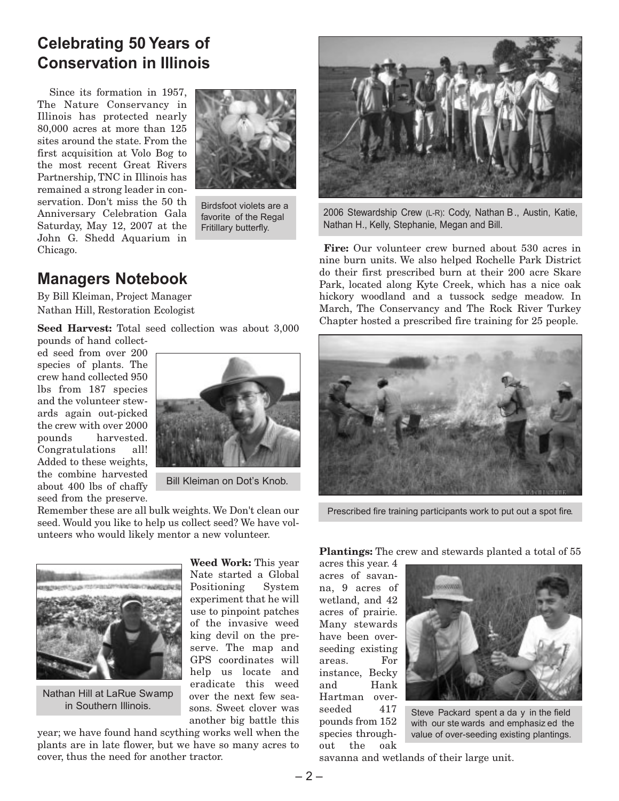### **Celebrating 50 Years of Conservation in Illinois**

Since its formation in 1957, The Nature Conservancy in Illinois has protected nearly 80,000 acres at more than 125 sites around the state. From the first acquisition at Volo Bog to the most recent Great Rivers Partnership, TNC in Illinois has remained a strong leader in conservation. Don't miss the 50 th Anniversary Celebration Gala Saturday, May 12, 2007 at the John G. Shedd Aquarium in Chicago.



Birdsfoot violets are a favorite of the Regal Fritillary butterfly.

### **Managers Notebook**

By Bill Kleiman, Project Manager Nathan Hill, Restoration Ecologist

**Seed Harvest:** Total seed collection was about 3,000 pounds of hand collect-

ed seed from over 200 species of plants. The crew hand collected 950 lbs from 187 species and the volunteer stewards again out-picked the crew with over 2000 pounds harvested. Congratulations all! Added to these weights, the combine harvested about 400 lbs of chaffy seed from the preserve.



Bill Kleiman on Dot's Knob.

Remember these are all bulk weights. We Don't clean our seed. Would you like to help us collect seed? We have volunteers who would likely mentor a new volunteer.



Nathan Hill at LaRue Swamp in Southern Illinois.

**Weed Work:** This year Nate started a Global Positioning System experiment that he will use to pinpoint patches of the invasive weed king devil on the preserve. The map and GPS coordinates will help us locate and eradicate this weed over the next few seasons. Sweet clover was another big battle this

year; we have found hand scything works well when the plants are in late flower, but we have so many acres to cover, thus the need for another tractor.



2006 Stewardship Crew (L-R): Cody, Nathan B., Austin, Katie, Nathan H., Kelly, Stephanie, Megan and Bill.

**Fire:** Our volunteer crew burned about 530 acres in nine burn units. We also helped Rochelle Park District do their first prescribed burn at their 200 acre Skare Park, located along Kyte Creek, which has a nice oak hickory woodland and a tussock sedge meadow. In March, The Conservancy and The Rock River Turkey Chapter hosted a prescribed fire training for 25 people.



Prescribed fire training participants work to put out a spot fire.

**Plantings:** The crew and stewards planted a total of 55

acres this year. 4 acres of savanna, 9 acres of wetland, and 42 acres of prairie. Many stewards have been overseeding existing areas. For instance, Becky and Hank Hartman overseeded 417 pounds from 152 species throughout the oak



Steve Packard spent a da y in the field with our ste wards and emphasiz ed the value of over-seeding existing plantings.

savanna and wetlands of their large unit.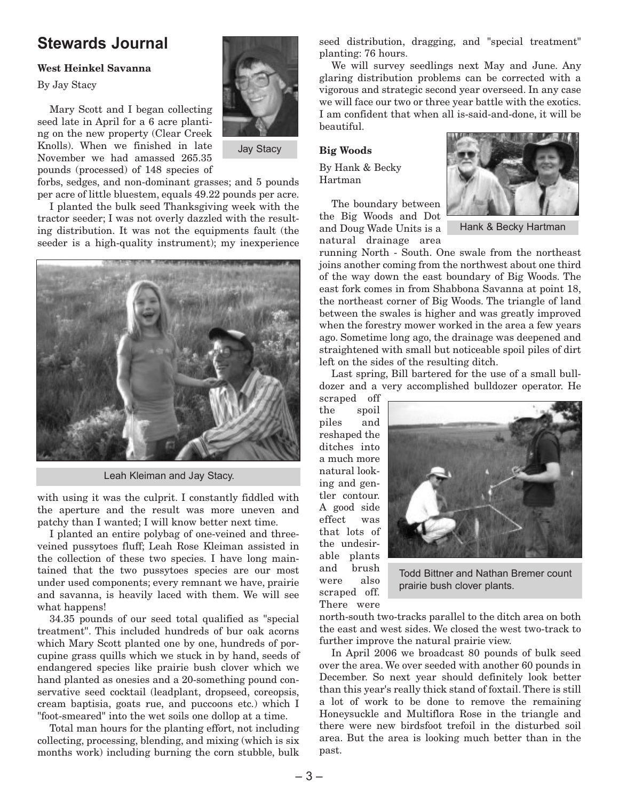### **Stewards Journal**

### **West Heinkel Savanna**

By Jay Stacy

Mary Scott and I began collecting seed late in April for a 6 acre planting on the new property (Clear Creek Knolls). When we finished in late November we had amassed 265.35 pounds (processed) of 148 species of



Jay Stacy

forbs, sedges, and non-dominant grasses; and 5 pounds per acre of little bluestem, equals 49.22 pounds per acre.

I planted the bulk seed Thanksgiving week with the tractor seeder; I was not overly dazzled with the resulting distribution. It was not the equipments fault (the seeder is a high-quality instrument); my inexperience



Leah Kleiman and Jay Stacy.

with using it was the culprit. I constantly fiddled with the aperture and the result was more uneven and patchy than I wanted; I will know better next time.

I planted an entire polybag of one-veined and threeveined pussytoes fluff; Leah Rose Kleiman assisted in the collection of these two species. I have long maintained that the two pussytoes species are our most under used components; every remnant we have, prairie and savanna, is heavily laced with them. We will see what happens!

34.35 pounds of our seed total qualified as "special treatment". This included hundreds of bur oak acorns which Mary Scott planted one by one, hundreds of porcupine grass quills which we stuck in by hand, seeds of endangered species like prairie bush clover which we hand planted as onesies and a 20-something pound conservative seed cocktail (leadplant, dropseed, coreopsis, cream baptisia, goats rue, and puccoons etc.) which I "foot-smeared" into the wet soils one dollop at a time.

Total man hours for the planting effort, not including collecting, processing, blending, and mixing (which is six months work) including burning the corn stubble, bulk

seed distribution, dragging, and "special treatment" planting: 76 hours.

We will survey seedlings next May and June. Any glaring distribution problems can be corrected with a vigorous and strategic second year overseed. In any case we will face our two or three year battle with the exotics. I am confident that when all is-said-and-done, it will be beautiful.

**Big Woods**

By Hank & Becky Hartman

The boundary between the Big Woods and Dot and Doug Wade Units is a natural drainage area



Hank & Becky Hartman

running North - South. One swale from the northeast joins another coming from the northwest about one third of the way down the east boundary of Big Woods. The east fork comes in from Shabbona Savanna at point 18, the northeast corner of Big Woods. The triangle of land between the swales is higher and was greatly improved when the forestry mower worked in the area a few years ago. Sometime long ago, the drainage was deepened and straightened with small but noticeable spoil piles of dirt left on the sides of the resulting ditch.

Last spring, Bill bartered for the use of a small bulldozer and a very accomplished bulldozer operator. He

scraped off the spoil piles and reshaped the ditches into a much more natural looking and gentler contour. A good side effect was that lots of the undesirable plants and brush were also scraped off. There were



Todd Bittner and Nathan Bremer count prairie bush clover plants.

north-south two-tracks parallel to the ditch area on both the east and west sides. We closed the west two-track to further improve the natural prairie view.

In April 2006 we broadcast 80 pounds of bulk seed over the area. We over seeded with another 60 pounds in December. So next year should definitely look better than this year's really thick stand of foxtail. There is still a lot of work to be done to remove the remaining Honeysuckle and Multiflora Rose in the triangle and there were new birdsfoot trefoil in the disturbed soil area. But the area is looking much better than in the past.

– 3 –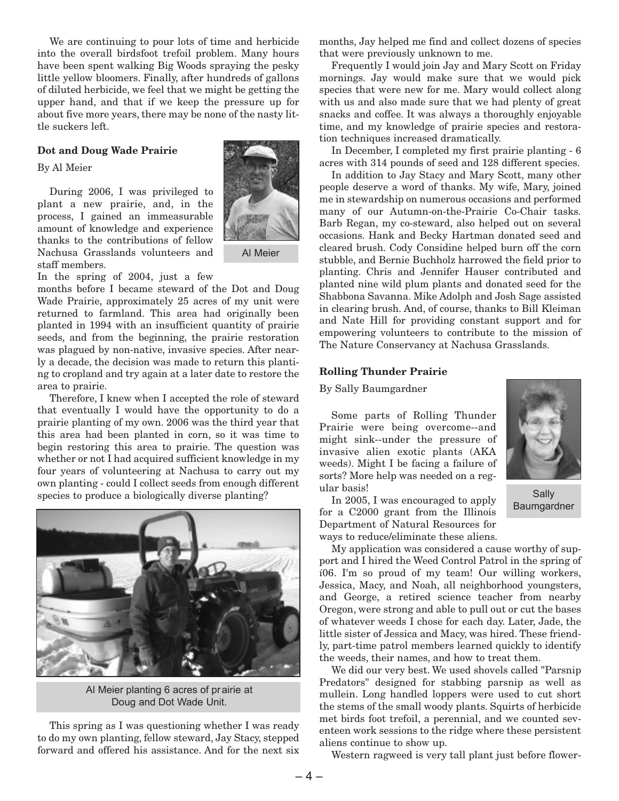We are continuing to pour lots of time and herbicide into the overall birdsfoot trefoil problem. Many hours have been spent walking Big Woods spraying the pesky little yellow bloomers. Finally, after hundreds of gallons of diluted herbicide, we feel that we might be getting the upper hand, and that if we keep the pressure up for about five more years, there may be none of the nasty little suckers left.

### **Dot and Doug Wade Prairie**

#### By Al Meier

During 2006, I was privileged to plant a new prairie, and, in the process, I gained an immeasurable amount of knowledge and experience thanks to the contributions of fellow Nachusa Grasslands volunteers and staff members.



Al Meier

In the spring of 2004, just a few

months before I became steward of the Dot and Doug Wade Prairie, approximately 25 acres of my unit were returned to farmland. This area had originally been planted in 1994 with an insufficient quantity of prairie seeds, and from the beginning, the prairie restoration was plagued by non-native, invasive species. After nearly a decade, the decision was made to return this planting to cropland and try again at a later date to restore the area to prairie.

Therefore, I knew when I accepted the role of steward that eventually I would have the opportunity to do a prairie planting of my own. 2006 was the third year that this area had been planted in corn, so it was time to begin restoring this area to prairie. The question was whether or not I had acquired sufficient knowledge in my four years of volunteering at Nachusa to carry out my own planting - could I collect seeds from enough different species to produce a biologically diverse planting?



Al Meier planting 6 acres of prairie at Doug and Dot Wade Unit.

This spring as I was questioning whether I was ready to do my own planting, fellow steward, Jay Stacy, stepped forward and offered his assistance. And for the next six

months, Jay helped me find and collect dozens of species that were previously unknown to me.

Frequently I would join Jay and Mary Scott on Friday mornings. Jay would make sure that we would pick species that were new for me. Mary would collect along with us and also made sure that we had plenty of great snacks and coffee. It was always a thoroughly enjoyable time, and my knowledge of prairie species and restoration techniques increased dramatically.

In December, I completed my first prairie planting - 6 acres with 314 pounds of seed and 128 different species.

In addition to Jay Stacy and Mary Scott, many other people deserve a word of thanks. My wife, Mary, joined me in stewardship on numerous occasions and performed many of our Autumn-on-the-Prairie Co-Chair tasks. Barb Regan, my co-steward, also helped out on several occasions. Hank and Becky Hartman donated seed and cleared brush. Cody Considine helped burn off the corn stubble, and Bernie Buchholz harrowed the field prior to planting. Chris and Jennifer Hauser contributed and planted nine wild plum plants and donated seed for the Shabbona Savanna. Mike Adolph and Josh Sage assisted in clearing brush. And, of course, thanks to Bill Kleiman and Nate Hill for providing constant support and for empowering volunteers to contribute to the mission of The Nature Conservancy at Nachusa Grasslands.

### **Rolling Thunder Prairie**

By Sally Baumgardner

Some parts of Rolling Thunder Prairie were being overcome--and might sink--under the pressure of invasive alien exotic plants (AKA weeds). Might I be facing a failure of sorts? More help was needed on a regular basis!



Sally

In 2005, I was encouraged to apply for a C2000 grant from the Illinois Baumgardner

Department of Natural Resources for ways to reduce/eliminate these aliens. My application was considered a cause worthy of support and I hired the Weed Control Patrol in the spring of í06. I'm so proud of my team! Our willing workers, Jessica, Macy, and Noah, all neighborhood youngsters, and George, a retired science teacher from nearby Oregon, were strong and able to pull out or cut the bases of whatever weeds I chose for each day. Later, Jade, the little sister of Jessica and Macy, was hired. These friendly, part-time patrol members learned quickly to identify

We did our very best. We used shovels called "Parsnip Predators" designed for stabbing parsnip as well as mullein. Long handled loppers were used to cut short the stems of the small woody plants. Squirts of herbicide met birds foot trefoil, a perennial, and we counted seventeen work sessions to the ridge where these persistent aliens continue to show up.

the weeds, their names, and how to treat them.

Western ragweed is very tall plant just before flower-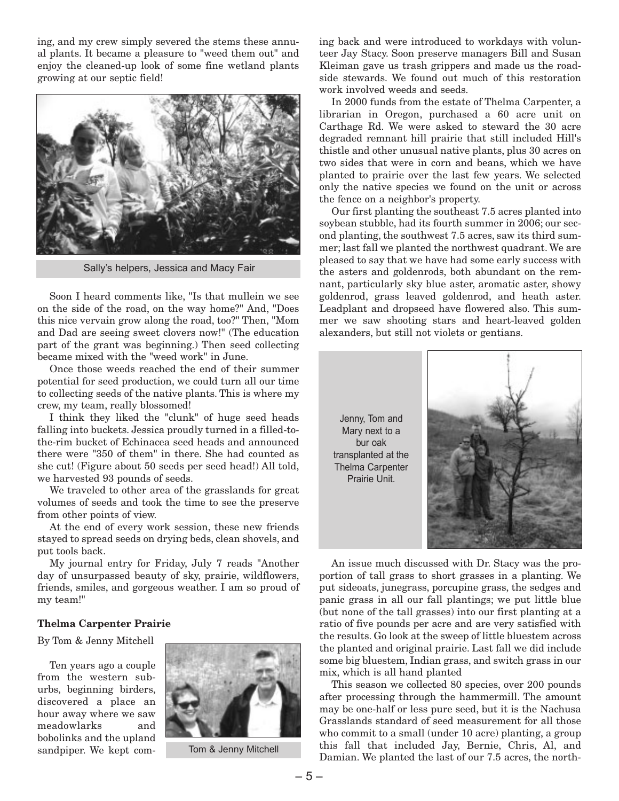ing, and my crew simply severed the stems these annual plants. It became a pleasure to "weed them out" and enjoy the cleaned-up look of some fine wetland plants growing at our septic field!



Sally's helpers, Jessica and Macy Fair

Soon I heard comments like, "Is that mullein we see on the side of the road, on the way home?" And, "Does this nice vervain grow along the road, too?" Then, "Mom and Dad are seeing sweet clovers now!" (The education part of the grant was beginning.) Then seed collecting became mixed with the "weed work" in June.

Once those weeds reached the end of their summer potential for seed production, we could turn all our time to collecting seeds of the native plants. This is where my crew, my team, really blossomed!

I think they liked the "clunk" of huge seed heads falling into buckets. Jessica proudly turned in a filled-tothe-rim bucket of Echinacea seed heads and announced there were "350 of them" in there. She had counted as she cut! (Figure about 50 seeds per seed head!) All told, we harvested 93 pounds of seeds.

We traveled to other area of the grasslands for great volumes of seeds and took the time to see the preserve from other points of view.

At the end of every work session, these new friends stayed to spread seeds on drying beds, clean shovels, and put tools back.

My journal entry for Friday, July 7 reads "Another day of unsurpassed beauty of sky, prairie, wildflowers, friends, smiles, and gorgeous weather. I am so proud of my team!"

### **Thelma Carpenter Prairie**

By Tom & Jenny Mitchell

Ten years ago a couple from the western suburbs, beginning birders, discovered a place an hour away where we saw meadowlarks and bobolinks and the upland sandpiper. We kept com-



Tom & Jenny Mitchell

ing back and were introduced to workdays with volunteer Jay Stacy. Soon preserve managers Bill and Susan Kleiman gave us trash grippers and made us the roadside stewards. We found out much of this restoration work involved weeds and seeds.

In 2000 funds from the estate of Thelma Carpenter, a librarian in Oregon, purchased a 60 acre unit on Carthage Rd. We were asked to steward the 30 acre degraded remnant hill prairie that still included Hill's thistle and other unusual native plants, plus 30 acres on two sides that were in corn and beans, which we have planted to prairie over the last few years. We selected only the native species we found on the unit or across the fence on a neighbor's property.

Our first planting the southeast 7.5 acres planted into soybean stubble, had its fourth summer in 2006; our second planting, the southwest 7.5 acres, saw its third summer; last fall we planted the northwest quadrant. We are pleased to say that we have had some early success with the asters and goldenrods, both abundant on the remnant, particularly sky blue aster, aromatic aster, showy goldenrod, grass leaved goldenrod, and heath aster. Leadplant and dropseed have flowered also. This summer we saw shooting stars and heart-leaved golden alexanders, but still not violets or gentians.

Jenny, Tom and Mary next to a bur oak transplanted at the Thelma Carpenter Prairie Unit.



An issue much discussed with Dr. Stacy was the proportion of tall grass to short grasses in a planting. We put sideoats, junegrass, porcupine grass, the sedges and panic grass in all our fall plantings; we put little blue (but none of the tall grasses) into our first planting at a ratio of five pounds per acre and are very satisfied with the results. Go look at the sweep of little bluestem across the planted and original prairie. Last fall we did include some big bluestem, Indian grass, and switch grass in our mix, which is all hand planted

This season we collected 80 species, over 200 pounds after processing through the hammermill. The amount may be one-half or less pure seed, but it is the Nachusa Grasslands standard of seed measurement for all those who commit to a small (under 10 acre) planting, a group this fall that included Jay, Bernie, Chris, Al, and Damian. We planted the last of our 7.5 acres, the north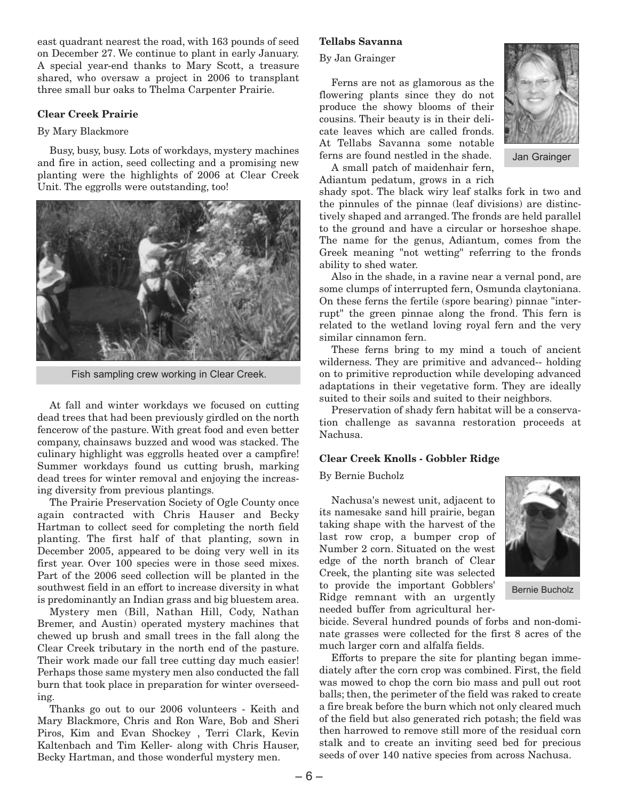east quadrant nearest the road, with 163 pounds of seed on December 27. We continue to plant in early January. A special year-end thanks to Mary Scott, a treasure shared, who oversaw a project in 2006 to transplant three small bur oaks to Thelma Carpenter Prairie.

### **Clear Creek Prairie**

### By Mary Blackmore

Busy, busy, busy. Lots of workdays, mystery machines and fire in action, seed collecting and a promising new planting were the highlights of 2006 at Clear Creek Unit. The eggrolls were outstanding, too!



Fish sampling crew working in Clear Creek.

At fall and winter workdays we focused on cutting dead trees that had been previously girdled on the north fencerow of the pasture. With great food and even better company, chainsaws buzzed and wood was stacked. The culinary highlight was eggrolls heated over a campfire! Summer workdays found us cutting brush, marking dead trees for winter removal and enjoying the increasing diversity from previous plantings.

The Prairie Preservation Society of Ogle County once again contracted with Chris Hauser and Becky Hartman to collect seed for completing the north field planting. The first half of that planting, sown in December 2005, appeared to be doing very well in its first year. Over 100 species were in those seed mixes. Part of the 2006 seed collection will be planted in the southwest field in an effort to increase diversity in what is predominantly an Indian grass and big bluestem area.

Mystery men (Bill, Nathan Hill, Cody, Nathan Bremer, and Austin) operated mystery machines that chewed up brush and small trees in the fall along the Clear Creek tributary in the north end of the pasture. Their work made our fall tree cutting day much easier! Perhaps those same mystery men also conducted the fall burn that took place in preparation for winter overseeding.

Thanks go out to our 2006 volunteers - Keith and Mary Blackmore, Chris and Ron Ware, Bob and Sheri Piros, Kim and Evan Shockey , Terri Clark, Kevin Kaltenbach and Tim Keller- along with Chris Hauser, Becky Hartman, and those wonderful mystery men.

### **Tellabs Savanna**

### By Jan Grainger

Ferns are not as glamorous as the flowering plants since they do not produce the showy blooms of their cousins. Their beauty is in their delicate leaves which are called fronds. At Tellabs Savanna some notable ferns are found nestled in the shade.



Jan Grainger

A small patch of maidenhair fern, Adiantum pedatum, grows in a rich

shady spot. The black wiry leaf stalks fork in two and the pinnules of the pinnae (leaf divisions) are distinctively shaped and arranged. The fronds are held parallel to the ground and have a circular or horseshoe shape. The name for the genus, Adiantum, comes from the Greek meaning "not wetting" referring to the fronds ability to shed water.

Also in the shade, in a ravine near a vernal pond, are some clumps of interrupted fern, Osmunda claytoniana. On these ferns the fertile (spore bearing) pinnae "interrupt" the green pinnae along the frond. This fern is related to the wetland loving royal fern and the very similar cinnamon fern.

These ferns bring to my mind a touch of ancient wilderness. They are primitive and advanced-- holding on to primitive reproduction while developing advanced adaptations in their vegetative form. They are ideally suited to their soils and suited to their neighbors.

Preservation of shady fern habitat will be a conservation challenge as savanna restoration proceeds at Nachusa.

#### **Clear Creek Knolls - Gobbler Ridge**

By Bernie Bucholz

Nachusa's newest unit, adjacent to its namesake sand hill prairie, began taking shape with the harvest of the last row crop, a bumper crop of Number 2 corn. Situated on the west edge of the north branch of Clear Creek, the planting site was selected to provide the important Gobblers' Ridge remnant with an urgently needed buffer from agricultural her-



Bernie Bucholz

bicide. Several hundred pounds of forbs and non-dominate grasses were collected for the first 8 acres of the much larger corn and alfalfa fields.

Efforts to prepare the site for planting began immediately after the corn crop was combined. First, the field was mowed to chop the corn bio mass and pull out root balls; then, the perimeter of the field was raked to create a fire break before the burn which not only cleared much of the field but also generated rich potash; the field was then harrowed to remove still more of the residual corn stalk and to create an inviting seed bed for precious seeds of over 140 native species from across Nachusa.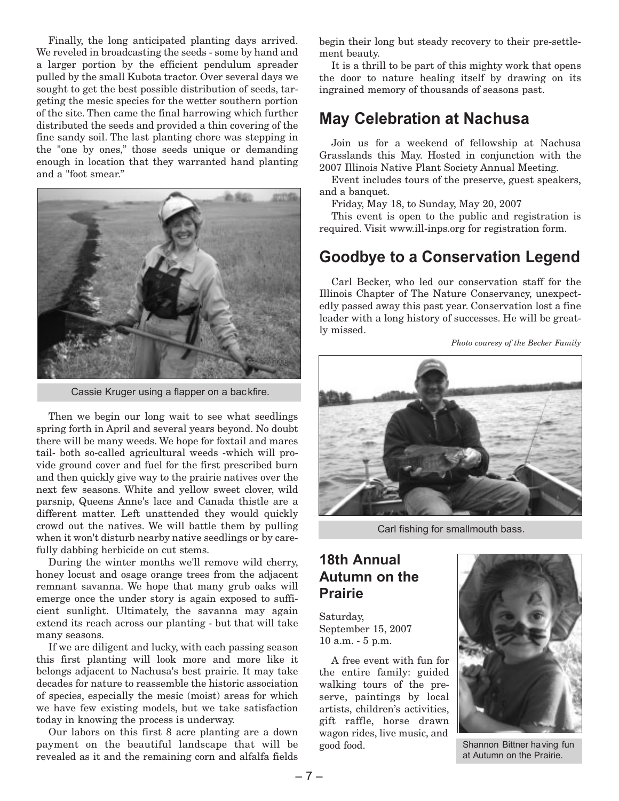Finally, the long anticipated planting days arrived. We reveled in broadcasting the seeds - some by hand and a larger portion by the efficient pendulum spreader pulled by the small Kubota tractor. Over several days we sought to get the best possible distribution of seeds, targeting the mesic species for the wetter southern portion of the site. Then came the final harrowing which further distributed the seeds and provided a thin covering of the fine sandy soil. The last planting chore was stepping in the "one by ones," those seeds unique or demanding enough in location that they warranted hand planting and a "foot smear."



Cassie Kruger using a flapper on a backfire.

Then we begin our long wait to see what seedlings spring forth in April and several years beyond. No doubt there will be many weeds. We hope for foxtail and mares tail- both so-called agricultural weeds -which will provide ground cover and fuel for the first prescribed burn and then quickly give way to the prairie natives over the next few seasons. White and yellow sweet clover, wild parsnip, Queens Anne's lace and Canada thistle are a different matter. Left unattended they would quickly crowd out the natives. We will battle them by pulling when it won't disturb nearby native seedlings or by carefully dabbing herbicide on cut stems.

During the winter months we'll remove wild cherry, honey locust and osage orange trees from the adjacent remnant savanna. We hope that many grub oaks will emerge once the under story is again exposed to sufficient sunlight. Ultimately, the savanna may again extend its reach across our planting - but that will take many seasons.

If we are diligent and lucky, with each passing season this first planting will look more and more like it belongs adjacent to Nachusa's best prairie. It may take decades for nature to reassemble the historic association of species, especially the mesic (moist) areas for which we have few existing models, but we take satisfaction today in knowing the process is underway.

Our labors on this first 8 acre planting are a down payment on the beautiful landscape that will be revealed as it and the remaining corn and alfalfa fields begin their long but steady recovery to their pre-settlement beauty.

It is a thrill to be part of this mighty work that opens the door to nature healing itself by drawing on its ingrained memory of thousands of seasons past.

### **May Celebration at Nachusa**

Join us for a weekend of fellowship at Nachusa Grasslands this May. Hosted in conjunction with the 2007 Illinois Native Plant Society Annual Meeting.

Event includes tours of the preserve, guest speakers, and a banquet.

Friday, May 18, to Sunday, May 20, 2007

This event is open to the public and registration is required. Visit www.ill-inps.org for registration form.

### **Goodbye to a Conservation Legend**

Carl Becker, who led our conservation staff for the Illinois Chapter of The Nature Conservancy, unexpectedly passed away this past year. Conservation lost a fine leader with a long history of successes. He will be greatly missed.

*Photo couresy of the Becker Family*



Carl fishing for smallmouth bass.

### **18th Annual Autumn on the Prairie**

Saturday, September 15, 2007 10 a.m. - 5 p.m.

A free event with fun for the entire family: guided walking tours of the preserve, paintings by local artists, children's activities, gift raffle, horse drawn wagon rides, live music, and good food.



Shannon Bittner having fun at Autumn on the Prairie.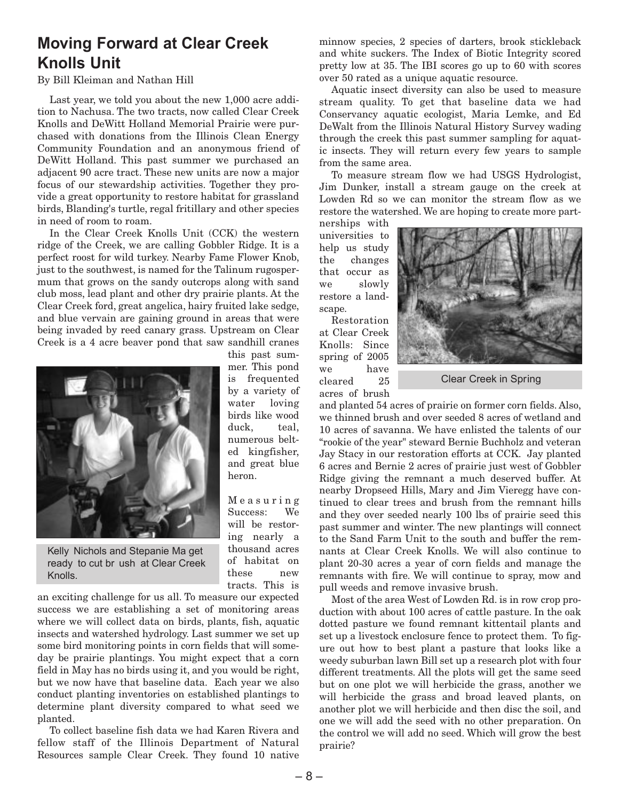### **Moving Forward at Clear Creek Knolls Unit**

### By Bill Kleiman and Nathan Hill

Last year, we told you about the new 1,000 acre addition to Nachusa. The two tracts, now called Clear Creek Knolls and DeWitt Holland Memorial Prairie were purchased with donations from the Illinois Clean Energy Community Foundation and an anonymous friend of DeWitt Holland. This past summer we purchased an adjacent 90 acre tract. These new units are now a major focus of our stewardship activities. Together they provide a great opportunity to restore habitat for grassland birds, Blanding's turtle, regal fritillary and other species in need of room to roam.

In the Clear Creek Knolls Unit (CCK) the western ridge of the Creek, we are calling Gobbler Ridge. It is a perfect roost for wild turkey. Nearby Fame Flower Knob, just to the southwest, is named for the Talinum rugospermum that grows on the sandy outcrops along with sand club moss, lead plant and other dry prairie plants. At the Clear Creek ford, great angelica, hairy fruited lake sedge, and blue vervain are gaining ground in areas that were being invaded by reed canary grass. Upstream on Clear Creek is a 4 acre beaver pond that saw sandhill cranes



Kelly Nichols and Stepanie Ma get ready to cut br ush at Clear Creek Knolls.

an exciting challenge for us all. To measure our expected success we are establishing a set of monitoring areas where we will collect data on birds, plants, fish, aquatic insects and watershed hydrology. Last summer we set up some bird monitoring points in corn fields that will someday be prairie plantings. You might expect that a corn field in May has no birds using it, and you would be right, but we now have that baseline data. Each year we also conduct planting inventories on established plantings to determine plant diversity compared to what seed we planted.

To collect baseline fish data we had Karen Rivera and fellow staff of the Illinois Department of Natural Resources sample Clear Creek. They found 10 native

this past summer. This pond is frequented by a variety of water loving birds like wood duck, teal, numerous belted kingfisher, and great blue heron.

Measuring Success: We will be restoring nearly a thousand acres of habitat on these new tracts. This is

minnow species, 2 species of darters, brook stickleback and white suckers. The Index of Biotic Integrity scored pretty low at 35. The IBI scores go up to 60 with scores over 50 rated as a unique aquatic resource.

Aquatic insect diversity can also be used to measure stream quality. To get that baseline data we had Conservancy aquatic ecologist, Maria Lemke, and Ed DeWalt from the Illinois Natural History Survey wading through the creek this past summer sampling for aquatic insects. They will return every few years to sample from the same area.

To measure stream flow we had USGS Hydrologist, Jim Dunker, install a stream gauge on the creek at Lowden Rd so we can monitor the stream flow as we restore the watershed. We are hoping to create more part-

nerships with universities to help us study the changes that occur as we slowly restore a landscape.

Restoration at Clear Creek Knolls: Since spring of 2005 we have cleared 25 acres of brush



Clear Creek in Spring

and planted 54 acres of prairie on former corn fields. Also, we thinned brush and over seeded 8 acres of wetland and 10 acres of savanna. We have enlisted the talents of our "rookie of the year" steward Bernie Buchholz and veteran Jay Stacy in our restoration efforts at CCK. Jay planted 6 acres and Bernie 2 acres of prairie just west of Gobbler Ridge giving the remnant a much deserved buffer. At nearby Dropseed Hills, Mary and Jim Vieregg have continued to clear trees and brush from the remnant hills and they over seeded nearly 100 lbs of prairie seed this past summer and winter. The new plantings will connect to the Sand Farm Unit to the south and buffer the remnants at Clear Creek Knolls. We will also continue to plant 20-30 acres a year of corn fields and manage the remnants with fire. We will continue to spray, mow and pull weeds and remove invasive brush.

Most of the area West of Lowden Rd. is in row crop production with about 100 acres of cattle pasture. In the oak dotted pasture we found remnant kittentail plants and set up a livestock enclosure fence to protect them. To figure out how to best plant a pasture that looks like a weedy suburban lawn Bill set up a research plot with four different treatments. All the plots will get the same seed but on one plot we will herbicide the grass, another we will herbicide the grass and broad leaved plants, on another plot we will herbicide and then disc the soil, and one we will add the seed with no other preparation. On the control we will add no seed. Which will grow the best prairie?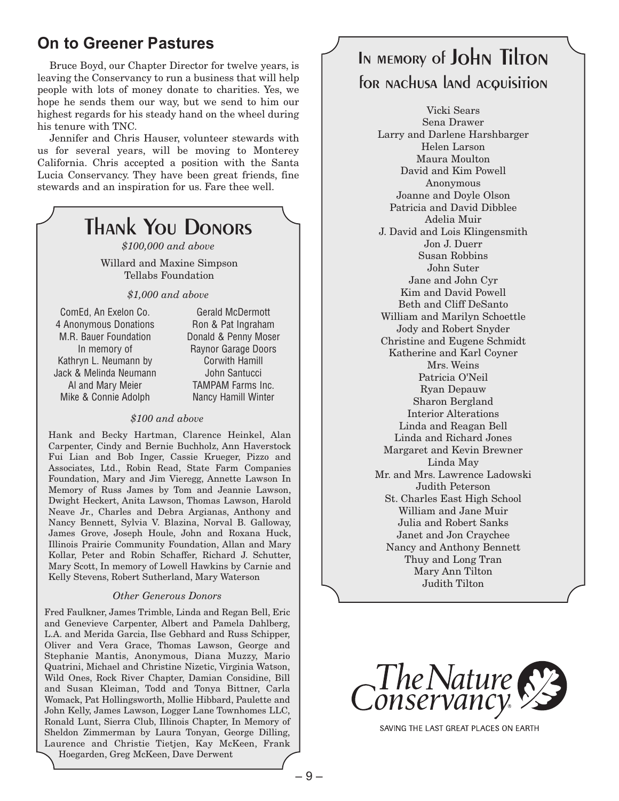### **On to Greener Pastures**

Bruce Boyd, our Chapter Director for twelve years, is leaving the Conservancy to run a business that will help people with lots of money donate to charities. Yes, we hope he sends them our way, but we send to him our highest regards for his steady hand on the wheel during his tenure with TNC.

Jennifer and Chris Hauser, volunteer stewards with us for several years, will be moving to Monterey California. Chris accepted a position with the Santa Lucia Conservancy. They have been great friends, fine stewards and an inspiration for us. Fare thee well.

#### Thank You Donors *\$100,000 and above* Willard and Maxine Simpson Tellabs Foundation *\$1,000 and above \$100 and above* Hank and Becky Hartman, Clarence Heinkel, Alan Carpenter, Cindy and Bernie Buchholz, Ann Haverstock Fui Lian and Bob Inger, Cassie Krueger, Pizzo and Associates, Ltd., Robin Read, State Farm Companies Foundation, Mary and Jim Vieregg, Annette Lawson In Memory of Russ James by Tom and Jeannie Lawson, Dwight Heckert, Anita Lawson, Thomas Lawson, Harold Neave Jr., Charles and Debra Argianas, Anthony and Nancy Bennett, Sylvia V. Blazina, Norval B. Galloway, James Grove, Joseph Houle, John and Roxana Huck, Illinois Prairie Community Foundation, Allan and Mary Kollar, Peter and Robin Schaffer, Richard J. Schutter, ComEd, An Exelon Co. 4 Anonymous Donations M.R. Bauer Foundation In memory of Kathryn L. Neumann by Jack & Melinda Neumann Al and Mary Meier Mike & Connie Adolph Gerald McDermott Ron & Pat Ingraham Donald & Penny Moser Raynor Garage Doors Corwith Hamill John Santucci TAMPAM Farms Inc. Nancy Hamill Winter

Kelly Stevens, Robert Sutherland, Mary Waterson

Mary Scott, In memory of Lowell Hawkins by Carnie and

### *Other Generous Donors*

Fred Faulkner, James Trimble, Linda and Regan Bell, Eric and Genevieve Carpenter, Albert and Pamela Dahlberg, L.A. and Merida Garcia, Ilse Gebhard and Russ Schipper, Oliver and Vera Grace, Thomas Lawson, George and Stephanie Mantis, Anonymous, Diana Muzzy, Mario Quatrini, Michael and Christine Nizetic, Virginia Watson, Wild Ones, Rock River Chapter, Damian Considine, Bill and Susan Kleiman, Todd and Tonya Bittner, Carla Womack, Pat Hollingsworth, Mollie Hibbard, Paulette and John Kelly, James Lawson, Logger Lane Townhomes LLC, Ronald Lunt, Sierra Club, Illinois Chapter, In Memory of Sheldon Zimmerman by Laura Tonyan, George Dilling, Laurence and Christie Tietjen, Kay McKeen, Frank Hoegarden, Greg McKeen, Dave Derwent

## In memory of John Tilton for nachusa land acquisition

Vicki Sears Sena Drawer Larry and Darlene Harshbarger Helen Larson Maura Moulton David and Kim Powell Anonymous Joanne and Doyle Olson Patricia and David Dibblee Adelia Muir J. David and Lois Klingensmith Jon J. Duerr Susan Robbins John Suter Jane and John Cyr Kim and David Powell Beth and Cliff DeSanto William and Marilyn Schoettle Jody and Robert Snyder Christine and Eugene Schmidt Katherine and Karl Coyner Mrs. Weins Patricia O'Neil Ryan Depauw Sharon Bergland Interior Alterations Linda and Reagan Bell Linda and Richard Jones Margaret and Kevin Brewner Linda May Mr. and Mrs. Lawrence Ladowski Judith Peterson St. Charles East High School William and Jane Muir Julia and Robert Sanks Janet and Jon Craychee Nancy and Anthony Bennett Thuy and Long Tran Mary Ann Tilton Judith Tilton



SAVING THE LAST GREAT PLACES ON EARTH

– 9 –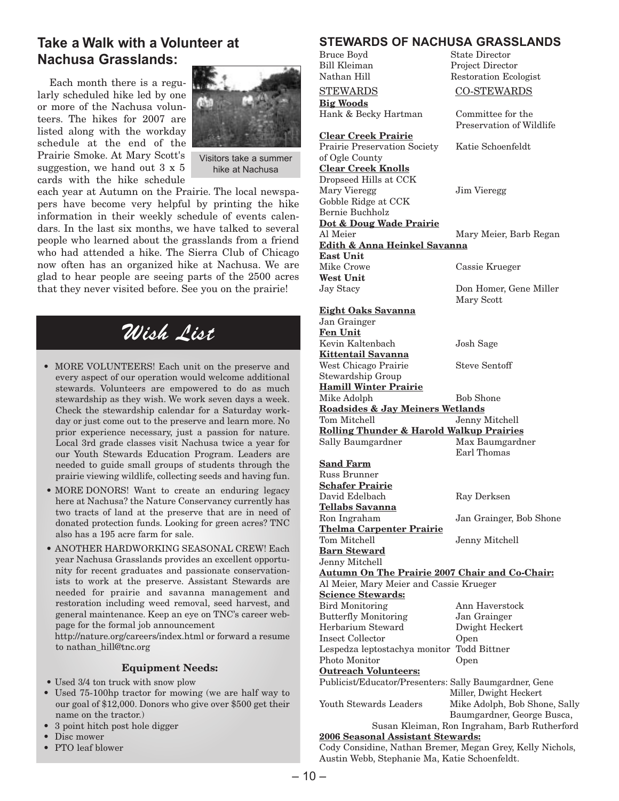### **Take a Walk with a Volunteer at Nachusa Grasslands:**

Each month there is a regularly scheduled hike led by one or more of the Nachusa volunteers. The hikes for 2007 are listed along with the workday schedule at the end of the Prairie Smoke. At Mary Scott's suggestion, we hand out 3 x 5 cards with the hike schedule



Visitors take a summer hike at Nachusa

each year at Autumn on the Prairie. The local newspapers have become very helpful by printing the hike information in their weekly schedule of events calendars. In the last six months, we have talked to several people who learned about the grasslands from a friend who had attended a hike. The Sierra Club of Chicago now often has an organized hike at Nachusa. We are glad to hear people are seeing parts of the 2500 acres that they never visited before. See you on the prairie!

# Wish List

- MORE VOLUNTEERS! Each unit on the preserve and every aspect of our operation would welcome additional stewards. Volunteers are empowered to do as much stewardship as they wish. We work seven days a week. Check the stewardship calendar for a Saturday workday or just come out to the preserve and learn more. No prior experience necessary, just a passion for nature. Local 3rd grade classes visit Nachusa twice a year for our Youth Stewards Education Program. Leaders are needed to guide small groups of students through the prairie viewing wildlife, collecting seeds and having fun.
- MORE DONORS! Want to create an enduring legacy here at Nachusa? the Nature Conservancy currently has two tracts of land at the preserve that are in need of donated protection funds. Looking for green acres? TNC also has a 195 acre farm for sale.
- ANOTHER HARDWORKING SEASONAL CREW! Each year Nachusa Grasslands provides an excellent opportunity for recent graduates and passionate conservationists to work at the preserve. Assistant Stewards are needed for prairie and savanna management and restoration including weed removal, seed harvest, and general maintenance. Keep an eye on TNC's career webpage for the formal job announcement

http://nature.org/careers/index.html or forward a resume to nathan\_hill@tnc.org

### **Equipment Needs:**

- Used 3/4 ton truck with snow plow
- Used 75-100hp tractor for mowing (we are half way to our goal of \$12,000. Donors who give over \$500 get their name on the tractor.)
- 3 point hitch post hole digger
- Disc mower
- PTO leaf blower

#### **STEWARDS OF NACHUSA GRASSLANDS**<br>Bruce Bovd State Director State Director

Restoration Ecologist

Preservation of Wildlife

Don Homer, Gene Miller

Mary Scott

Bill Kleiman Project Director

### STEWARDS CO-STEWARDS

**Big Woods** Hank & Becky Hartman Committee for the

**Clear Creek Prairie** Prairie Preservation Society Katie Schoenfeldt of Ogle County **Clear Creek Knolls** Dropseed Hills at CCK Mary Vieregg Jim Vieregg Gobble Ridge at CCK Bernie Buchholz **Dot & Doug Wade Prairie** Al Meier Mary Meier, Barb Regan **Edith & Anna Heinkel Savanna East Unit**

Mike Crowe Cassie Krueger **West Unit**

### **Eight Oaks Savanna**

Jan Grainger **Fen Unit** Kevin Kaltenbach Josh Sage **Kittentail Savanna** West Chicago Prairie Steve Sentoff Stewardship Group **Hamill Winter Prairie** Mike Adolph Bob Shone **Roadsides & Jay Meiners Wetlands** Tom Mitchell Jenny Mitchell **Rolling Thunder & Harold Walkup Prairies** Sally Baumgardner Max Baumgardner Earl Thomas **Sand Farm** Russ Brunner **Schafer Prairie** David Edelbach Ray Derksen **Tellabs Savanna** Ron Ingraham Jan Grainger, Bob Shone **Thelma Carpenter Prairie** Jenny Mitchell **Barn Steward** Jenny Mitchell **Autumn On The Prairie 2007 Chair and Co-Chair:** Al Meier, Mary Meier and Cassie Krueger **Science Stewards:** Bird Monitoring Ann Haverstock Butterfly Monitoring Jan Grainger Herbarium Steward Dwight Heckert Insect Collector Open Lespedza leptostachya monitor Todd Bittner Photo Monitor Open **Outreach Volunteers:** Publicist/Educator/Presenters: Sally Baumgardner, Gene Miller, Dwight Heckert Youth Stewards Leaders Mike Adolph, Bob Shone, Sally Baumgardner, George Busca, Susan Kleiman, Ron Ingraham, Barb Rutherford

### **2006 Seasonal Assistant Stewards:**

Cody Considine, Nathan Bremer, Megan Grey, Kelly Nichols, Austin Webb, Stephanie Ma, Katie Schoenfeldt.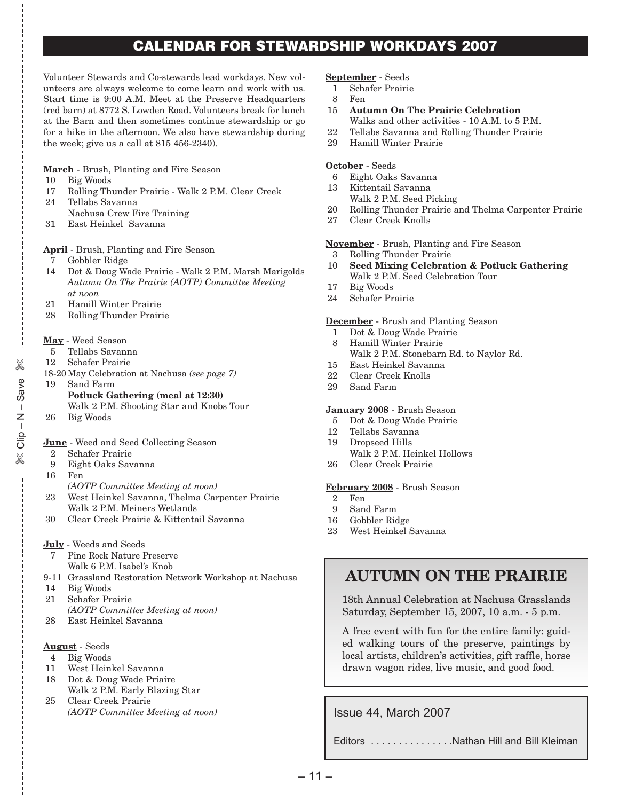### **CALENDAR FOR STEWARDSHIP WORKDAYS 2007**

Volunteer Stewards and Co-stewards lead workdays. New volunteers are always welcome to come learn and work with us. Start time is 9:00 A.M. Meet at the Preserve Headquarters (red barn) at 8772 S. Lowden Road. Volunteers break for lunch at the Barn and then sometimes continue stewardship or go for a hike in the afternoon. We also have stewardship during the week; give us a call at 815 456-2340).

#### **March** - Brush, Planting and Fire Season

- 10 Big Woods
- 17 Rolling Thunder Prairie Walk 2 P.M. Clear Creek 24 Tellabs Savanna
- Nachusa Crew Fire Training
- 31 East Heinkel Savanna

### **April** - Brush, Planting and Fire Season

- 7 Gobbler Ridge
- 14 Dot & Doug Wade Prairie Walk 2 P.M. Marsh Marigolds *Autumn On The Prairie (AOTP) Committee Meeting at noon*
- 21 Hamill Winter Prairie
- 28 Rolling Thunder Prairie

### **May** - Weed Season

- 5 Tellabs Savanna
- 12 Schafer Prairie
- 18-20 May Celebration at Nachusa *(see page 7)*
- 19 Sand Farm **Potluck Gathering (meal at 12:30)** Walk 2 P.M. Shooting Star and Knobs Tour
- 26 Big Woods
- **June** Weed and Seed Collecting Season
- Schafer Prairie
- 9 Eight Oaks Savanna
- 16 Fen

 $\approx$  Clip – N – Save e<br>%<br>%<br>%

✄

- *(AOTP Committee Meeting at noon)*
- 23 West Heinkel Savanna, Thelma Carpenter Prairie Walk 2 P.M. Meiners Wetlands
- 30 Clear Creek Prairie & Kittentail Savanna
- **July** Weeds and Seeds
- 7 Pine Rock Nature Preserve Walk 6 P.M. Isabel's Knob
- 9-11 Grassland Restoration Network Workshop at Nachusa
- 14 Big Woods
- 21 Schafer Prairie
- *(AOTP Committee Meeting at noon)*
- 28 East Heinkel Savanna

### **August** - Seeds

- 4 Big Woods
- 11 West Heinkel Savanna
- 18 Dot & Doug Wade Priaire Walk 2 P.M. Early Blazing Star
- 25 Clear Creek Prairie *(AOTP Committee Meeting at noon)*

#### **September** - Seeds

- 1 Schafer Prairie
- 8 Fen
- 15 **Autumn On The Prairie Celebration**
	- Walks and other activities 10 A.M. to 5 P.M.
- 22 Tellabs Savanna and Rolling Thunder Prairie
- 29 Hamill Winter Prairie

### **October** - Seeds

- 6 Eight Oaks Savanna
- 13 Kittentail Savanna
	- Walk 2 P.M. Seed Picking
- 20 Rolling Thunder Prairie and Thelma Carpenter Prairie
- 27 Clear Creek Knolls

#### **November** - Brush, Planting and Fire Season

- 3 Rolling Thunder Prairie
- 10 **Seed Mixing Celebration & Potluck Gathering** Walk 2 P.M. Seed Celebration Tour
- 17 Big Woods
- 24 Schafer Prairie

#### **December** - Brush and Planting Season

- 1 Dot & Doug Wade Prairie
- 8 Hamill Winter Prairie Walk 2 P.M. Stonebarn Rd. to Naylor Rd.
- 15 East Heinkel Savanna
- 22 Clear Creek Knolls
- 29 Sand Farm

### **January 2008** - Brush Season

- 5 Dot & Doug Wade Prairie
- 12 Tellabs Savanna
- 19 Dropseed Hills
	- Walk 2 P.M. Heinkel Hollows
- 26 Clear Creek Prairie

#### **February 2008** - Brush Season

- 2 Fen
- 9 Sand Farm
- 16 Gobbler Ridge
- 23 West Heinkel Savanna

### **AUTUMN ON THE PRAIRIE**

18th Annual Celebration at Nachusa Grasslands Saturday, September 15, 2007, 10 a.m. - 5 p.m.

A free event with fun for the entire family: guided walking tours of the preserve, paintings by local artists, children's activities, gift raffle, horse drawn wagon rides, live music, and good food.

Issue 44, March 2007

Editors . . . . . . . . . . . . . . Nathan Hill and Bill Kleiman